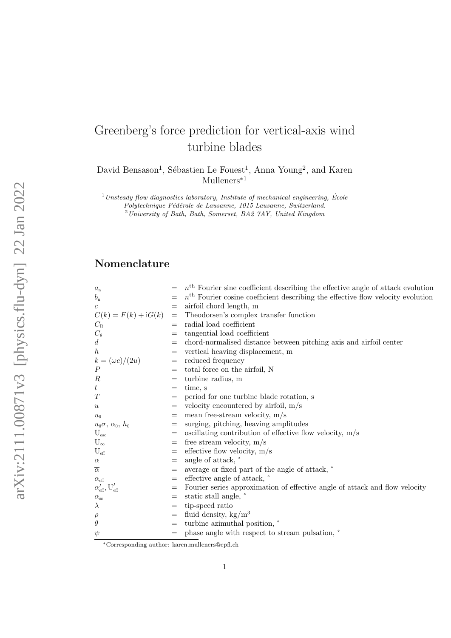# Greenberg's force prediction for vertical-axis wind turbine blades

David Bensason<sup>1</sup>, Sébastien Le Fouest<sup>1</sup>, Anna Young<sup>2</sup>, and Karen Mulleners<sup>\*1</sup>

 $1$ Unsteady flow diagnostics laboratory, Institute of mechanical engineering, École

Polytechnique Fédérale de Lausanne, 1015 Lausanne, Switzerland.

 $2$ University of Bath, Bath, Somerset, BA2  $7AY$ , United Kingdom

## Nomenclature

| $a_{\rm n}$                                      |                   | $nth$ Fourier sine coefficient describing the effective angle of attack evolution |
|--------------------------------------------------|-------------------|-----------------------------------------------------------------------------------|
| $b_{\rm n}$                                      |                   | $nth$ Fourier cosine coefficient describing the effective flow velocity evolution |
| $\boldsymbol{c}$                                 |                   | airfoil chord length, m                                                           |
| $C(k) = F(k) + iG(k)$                            | $\!\!=\!\!$       | Theodorsen's complex transfer function                                            |
| $C_{\rm R}$                                      |                   | radial load coefficient                                                           |
| $C_{\theta}$                                     | $=$               | tangential load coefficient                                                       |
| d                                                | $=$               | chord-normalised distance between pitching axis and airfoil center                |
| $\boldsymbol{h}$                                 | $=$               | vertical heaving displacement, m                                                  |
| $k = (\omega c)/(2u)$                            | $=$               | reduced frequency                                                                 |
| $\overline{P}$                                   | $=$               | total force on the airfoil, N                                                     |
| $\boldsymbol{R}$                                 | $=$               | turbine radius, m                                                                 |
| $\boldsymbol{t}$                                 | $=$               | time, s                                                                           |
| T                                                | $=$               | period for one turbine blade rotation, s                                          |
| $\boldsymbol{u}$                                 | $=$               | velocity encountered by airfoil, $m/s$                                            |
| $u_0$                                            | $=$               | mean free-stream velocity, $m/s$                                                  |
| $u_0\sigma, \alpha_0, h_0$                       | $=$               | surging, pitching, heaving amplitudes                                             |
| $U_{\rm osc}$                                    | $=$               | oscillating contribution of effective flow velocity, m/s                          |
| $U_{\infty}$                                     | $=$               | free stream velocity, $m/s$                                                       |
| $U_{\text{eff}}$                                 | $=$               | effective flow velocity, $m/s$                                                    |
| $\alpha$                                         | $=$               | angle of attack, $\degree$                                                        |
| $\overline{\alpha}$                              | $=$               | average or fixed part of the angle of attack, $\degree$                           |
| $\alpha_{\text{eff}}$                            | $=$               | effective angle of attack, $\degree$                                              |
| $\alpha_{\text{eff}}', \mathrm{U}_{\text{eff}}'$ | $=$               | Fourier series approximation of effective angle of attack and flow velocity       |
| $\alpha_{\rm ss}$                                | $=$               | static stall angle, $\degree$                                                     |
| $\lambda$                                        | $=$               | tip-speed ratio                                                                   |
| $\rho$                                           | $\!\!\!=\!\!\!\!$ | fluid density, $\text{kg/m}^3$                                                    |
| $\theta$                                         | $=$               | turbine azimuthal position, $\degree$                                             |
| $\psi$                                           |                   | phase angle with respect to stream pulsation, $\degree$                           |

<sup>∗</sup>Corresponding author: karen.mulleners@epfl.ch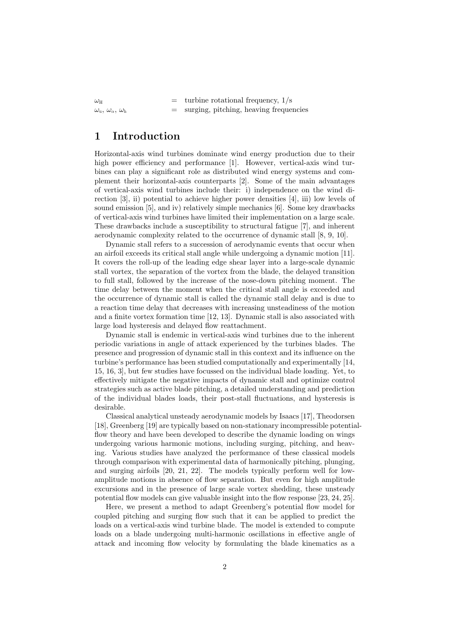$\omega_{\text{H}}$  = turbine rotational frequency,  $1/\text{s}$  $\omega_{\rm u}, \omega_{\rm \alpha}, \omega_{\rm h}$  = surging, pitching, heaving frequencies

## 1 Introduction

Horizontal-axis wind turbines dominate wind energy production due to their high power efficiency and performance [1]. However, vertical-axis wind turbines can play a significant role as distributed wind energy systems and complement their horizontal-axis counterparts [2]. Some of the main advantages of vertical-axis wind turbines include their: i) independence on the wind direction [3], ii) potential to achieve higher power densities [4], iii) low levels of sound emission [5], and iv) relatively simple mechanics [6]. Some key drawbacks of vertical-axis wind turbines have limited their implementation on a large scale. These drawbacks include a susceptibility to structural fatigue [7], and inherent aerodynamic complexity related to the occurrence of dynamic stall [8, 9, 10].

Dynamic stall refers to a succession of aerodynamic events that occur when an airfoil exceeds its critical stall angle while undergoing a dynamic motion [11]. It covers the roll-up of the leading edge shear layer into a large-scale dynamic stall vortex, the separation of the vortex from the blade, the delayed transition to full stall, followed by the increase of the nose-down pitching moment. The time delay between the moment when the critical stall angle is exceeded and the occurrence of dynamic stall is called the dynamic stall delay and is due to a reaction time delay that decreases with increasing unsteadiness of the motion and a finite vortex formation time [12, 13]. Dynamic stall is also associated with large load hysteresis and delayed flow reattachment.

Dynamic stall is endemic in vertical-axis wind turbines due to the inherent periodic variations in angle of attack experienced by the turbines blades. The presence and progression of dynamic stall in this context and its influence on the turbine's performance has been studied computationally and experimentally [14, 15, 16, 3], but few studies have focussed on the individual blade loading. Yet, to effectively mitigate the negative impacts of dynamic stall and optimize control strategies such as active blade pitching, a detailed understanding and prediction of the individual blades loads, their post-stall fluctuations, and hysteresis is desirable.

Classical analytical unsteady aerodynamic models by Isaacs [17], Theodorsen [18], Greenberg [19] are typically based on non-stationary incompressible potentialflow theory and have been developed to describe the dynamic loading on wings undergoing various harmonic motions, including surging, pitching, and heaving. Various studies have analyzed the performance of these classical models through comparison with experimental data of harmonically pitching, plunging, and surging airfoils [20, 21, 22]. The models typically perform well for lowamplitude motions in absence of flow separation. But even for high amplitude excursions and in the presence of large scale vortex shedding, these unsteady potential flow models can give valuable insight into the flow response [23, 24, 25].

Here, we present a method to adapt Greenberg's potential flow model for coupled pitching and surging flow such that it can be applied to predict the loads on a vertical-axis wind turbine blade. The model is extended to compute loads on a blade undergoing multi-harmonic oscillations in effective angle of attack and incoming flow velocity by formulating the blade kinematics as a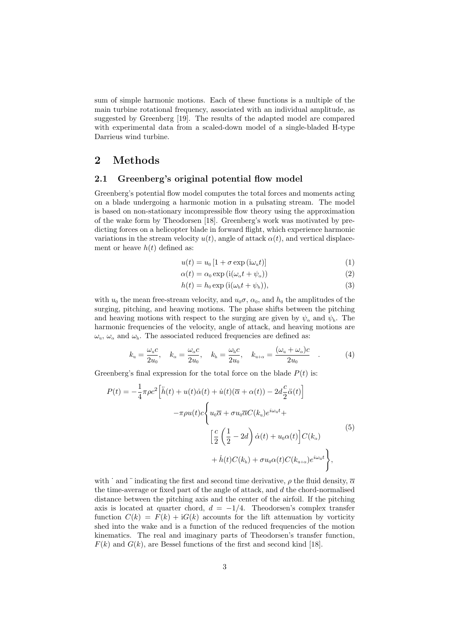sum of simple harmonic motions. Each of these functions is a multiple of the main turbine rotational frequency, associated with an individual amplitude, as suggested by Greenberg [19]. The results of the adapted model are compared with experimental data from a scaled-down model of a single-bladed H-type Darrieus wind turbine.

## 2 Methods

#### 2.1 Greenberg's original potential flow model

Greenberg's potential flow model computes the total forces and moments acting on a blade undergoing a harmonic motion in a pulsating stream. The model is based on non-stationary incompressible flow theory using the approximation of the wake form by Theodorsen [18]. Greenberg's work was motivated by predicting forces on a helicopter blade in forward flight, which experience harmonic variations in the stream velocity  $u(t)$ , angle of attack  $\alpha(t)$ , and vertical displacement or heave  $h(t)$  defined as:

$$
u(t) = u_0 \left[ 1 + \sigma \exp\left(i\omega_u t\right) \right] \tag{1}
$$

$$
\alpha(t) = \alpha_0 \exp(i(\omega_\alpha t + \psi_\alpha))
$$
\n(2)

$$
h(t) = h_0 \exp(i(\omega_h t + \psi_h)), \tag{3}
$$

with  $u_0$  the mean free-stream velocity, and  $u_0\sigma$ ,  $\alpha_0$ , and  $h_0$  the amplitudes of the surging, pitching, and heaving motions. The phase shifts between the pitching and heaving motions with respect to the surging are given by  $\psi_{\alpha}$  and  $\psi_{h}$ . The harmonic frequencies of the velocity, angle of attack, and heaving motions are  $\omega_{\rm u}, \omega_{\rm o}$  and  $\omega_{\rm h}$ . The associated reduced frequencies are defined as:

$$
k_{\mathrm{u}} = \frac{\omega_{\mathrm{u}}c}{2u_{0}}, \quad k_{\alpha} = \frac{\omega_{\alpha}c}{2u_{0}}, \quad k_{\mathrm{h}} = \frac{\omega_{\mathrm{h}}c}{2u_{0}}, \quad k_{\mathrm{u}+\alpha} = \frac{(\omega_{\mathrm{u}}+\omega_{\alpha})c}{2u_{0}} \quad . \tag{4}
$$

Greenberg's final expression for the total force on the blade  $P(t)$  is:

$$
P(t) = -\frac{1}{4}\pi\rho c^2 \left[\ddot{h}(t) + u(t)\dot{\alpha}(t) + \dot{u}(t)(\overline{\alpha} + \alpha(t)) - 2d\frac{c}{2}\ddot{\alpha}(t)\right]
$$

$$
-\pi\rho u(t)c\left\{u_0\overline{\alpha} + \sigma u_0\overline{\alpha}C(k_u)e^{i\omega_0 t} + \left[\frac{c}{2}\left(\frac{1}{2} - 2d\right)\dot{\alpha}(t) + u_0\alpha(t)\right]C(k_\alpha) + \dot{h}(t)C(k_\text{h}) + \sigma u_0\alpha(t)C(k_{\text{u}+\alpha})e^{i\omega_0 t}\right\},
$$

$$
(5)
$$

with  $\cdot$  and  $\cdot$  indicating the first and second time derivative,  $\rho$  the fluid density,  $\overline{\alpha}$ the time-average or fixed part of the angle of attack, and  $d$  the chord-normalised distance between the pitching axis and the center of the airfoil. If the pitching axis is located at quarter chord,  $d = -1/4$ . Theodorsen's complex transfer function  $C(k) = F(k) + iG(k)$  accounts for the lift attenuation by vorticity shed into the wake and is a function of the reduced frequencies of the motion kinematics. The real and imaginary parts of Theodorsen's transfer function,  $F(k)$  and  $G(k)$ , are Bessel functions of the first and second kind [18].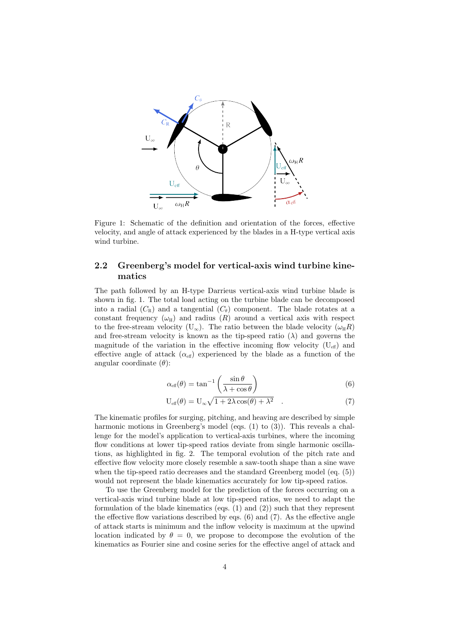

Figure 1: Schematic of the definition and orientation of the forces, effective velocity, and angle of attack experienced by the blades in a H-type vertical axis wind turbine.

#### 2.2 Greenberg's model for vertical-axis wind turbine kinematics

The path followed by an H-type Darrieus vertical-axis wind turbine blade is shown in fig. 1. The total load acting on the turbine blade can be decomposed into a radial  $(C_R)$  and a tangential  $(C_{\theta})$  component. The blade rotates at a constant frequency  $(\omega_H)$  and radius  $(R)$  around a vertical axis with respect to the free-stream velocity (U<sub>∞</sub>). The ratio between the blade velocity ( $\omega_{\text{H}}R$ ) and free-stream velocity is known as the tip-speed ratio  $(\lambda)$  and governs the magnitude of the variation in the effective incoming flow velocity  $(U_{\text{eff}})$  and effective angle of attack  $(\alpha_{\text{eff}})$  experienced by the blade as a function of the angular coordinate  $(\theta)$ :

$$
\alpha_{\text{eff}}(\theta) = \tan^{-1}\left(\frac{\sin\theta}{\lambda + \cos\theta}\right) \tag{6}
$$

$$
U_{eff}(\theta) = U_{\infty} \sqrt{1 + 2\lambda \cos(\theta) + \lambda^2} \quad . \tag{7}
$$

The kinematic profiles for surging, pitching, and heaving are described by simple harmonic motions in Greenberg's model (eqs.  $(1)$  to  $(3)$ ). This reveals a challenge for the model's application to vertical-axis turbines, where the incoming flow conditions at lower tip-speed ratios deviate from single harmonic oscillations, as highlighted in fig. 2. The temporal evolution of the pitch rate and effective flow velocity more closely resemble a saw-tooth shape than a sine wave when the tip-speed ratio decreases and the standard Greenberg model (eq. (5)) would not represent the blade kinematics accurately for low tip-speed ratios.

To use the Greenberg model for the prediction of the forces occurring on a vertical-axis wind turbine blade at low tip-speed ratios, we need to adapt the formulation of the blade kinematics (eqs. (1) and (2)) such that they represent the effective flow variations described by eqs. (6) and (7). As the effective angle of attack starts is minimum and the inflow velocity is maximum at the upwind location indicated by  $\theta = 0$ , we propose to decompose the evolution of the kinematics as Fourier sine and cosine series for the effective angel of attack and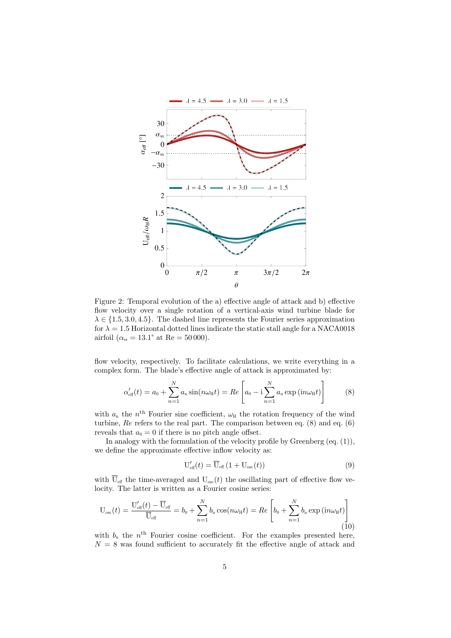

Figure 2: Temporal evolution of the a) effective angle of attack and b) effective flow velocity over a single rotation of a vertical-axis wind turbine blade for  $\lambda \in \{1.5, 3.0, 4.5\}$ . The dashed line represents the Fourier series approximation for  $\lambda = 1.5$  Horizontal dotted lines indicate the static stall angle for a NACA0018 airfoil ( $\alpha_{\rm ss} = 13.1^{\circ}$  at Re = 50 000).

flow velocity, respectively. To facilitate calculations, we write everything in a complex form. The blade's effective angle of attack is approximated by:

$$
\alpha'_{\text{eff}}(t) = a_0 + \sum_{n=1}^{N} a_n \sin(n\omega_H t) = Re \left[ a_0 - i \sum_{n=1}^{N} a_n \exp(i n\omega_H t) \right]
$$
(8)

with  $a_n$  the n<sup>th</sup> Fourier sine coefficient,  $\omega_H$  the rotation frequency of the wind turbine, Re refers to the real part. The comparison between eq. (8) and eq. (6) reveals that  $a_0 = 0$  if there is no pitch angle offset.

In analogy with the formulation of the velocity profile by Greenberg (eq. (1)), we define the approximate effective inflow velocity as:

$$
U'_{\text{eff}}(t) = \overline{U}_{\text{eff}}(1 + U_{\text{osc}}(t))
$$
\n(9)

with  $\overline{U}_{\text{eff}}$  the time-averaged and  $U_{\text{osc}}(t)$  the oscillating part of effective flow velocity. The latter is written as a Fourier cosine series:

$$
U_{osc}(t) = \frac{U'_{eff}(t) - \overline{U}_{eff}}{\overline{U}_{eff}} = b_0 + \sum_{n=1}^{N} b_n \cos(n\omega_H t) = Re \left[ b_0 + \sum_{n=1}^{N} b_n \exp(i n\omega_H t) \right]
$$
(10)

with  $b_n$  the  $n<sup>th</sup>$  Fourier cosine coefficient. For the examples presented here,  $N = 8$  was found sufficient to accurately fit the effective angle of attack and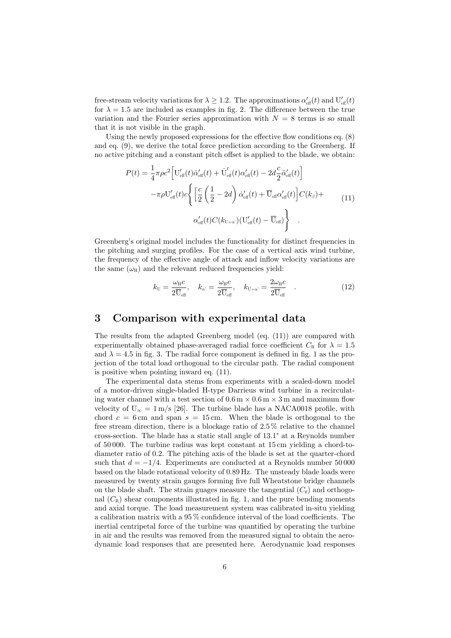free-stream velocity variations for  $\lambda \geq 1.2$ . The approximations  $\alpha'_{\text{eff}}(t)$  and  $U'_{\text{eff}}(t)$ for  $\lambda = 1.5$  are included as examples in fig. 2. The difference between the true variation and the Fourier series approximation with  $N = 8$  terms is so small that it is not visible in the graph.

Using the newly proposed expressions for the effective flow conditions eq. (8) and eq. (9), we derive the total force prediction according to the Greenberg. If no active pitching and a constant pitch offset is applied to the blade, we obtain:

$$
P(t) = \frac{1}{4}\pi\rho c^2 \left[ U'_{\text{eff}}(t)\dot{\alpha}'_{\text{eff}}(t) + \dot{U}'_{\text{eff}}(t)\alpha'_{\text{eff}}(t) - 2d\frac{c}{2}\ddot{\alpha}'_{\text{eff}}(t) \right]
$$

$$
-\pi\rho U'_{\text{eff}}(t)c\left\{ \left[ \frac{c}{2} \left( \frac{1}{2} - 2d \right) \dot{\alpha}'_{\text{eff}}(t) + \overline{U}_{\text{eff}}\alpha'_{\text{eff}}(t) \right] C(k_{\beta}) + \alpha'_{\text{eff}}(t)C(k_{\text{U}+\alpha}) (U'_{\text{eff}}(t) - \overline{U}_{\text{eff}}) \right\} \quad (11)
$$

Greenberg's original model includes the functionality for distinct frequencies in the pitching and surging profiles. For the case of a vertical axis wind turbine, the frequency of the effective angle of attack and inflow velocity variations are the same  $(\omega_H)$  and the relevant reduced frequencies yield:

$$
k_{\rm U} = \frac{\omega_{\rm H}c}{2\overline{U}_{\rm eff}}, \quad k_{\alpha} = \frac{\omega_{\rm H}c}{2\overline{U}_{\rm eff}}, \quad k_{\rm U+\alpha'} = \frac{2\omega_{\rm H}c}{2\overline{U}_{\rm eff}} \quad . \tag{12}
$$

## 3 Comparison with experimental data

The results from the adapted Greenberg model (eq. (11)) are compared with experimentally obtained phase-averaged radial force coefficient  $C_R$  for  $\lambda = 1.5$ and  $\lambda = 4.5$  in fig. 3. The radial force component is defined in fig. 1 as the projection of the total load orthogonal to the circular path. The radial component is positive when pointing inward eq. (11).

The experimental data stems from experiments with a scaled-down model of a motor-driven single-bladed H-type Darrieus wind turbine in a recirculating water channel with a test section of  $0.6 \text{ m} \times 0.6 \text{ m} \times 3 \text{ m}$  and maximum flow velocity of  $U_{\infty} = 1 \text{ m/s}$  [26]. The turbine blade has a NACA0018 profile, with chord  $c = 6$  cm and span  $s = 15$  cm. When the blade is orthogonal to the free stream direction, there is a blockage ratio of 2.5 % relative to the channel cross-section. The blade has a static stall angle of 13.1° at a Reynolds number of 50 000. The turbine radius was kept constant at 15 cm yielding a chord-todiameter ratio of 0.2. The pitching axis of the blade is set at the quarter-chord such that  $d = -1/4$ . Experiments are conducted at a Reynolds number 50 000 based on the blade rotational velocity of 0.89 Hz. The unsteady blade loads were measured by twenty strain gauges forming five full Wheatstone bridge channels on the blade shaft. The strain guages measure the tangential  $(C_{\theta})$  and orthogonal  $(C_R)$  shear components illustrated in fig. 1, and the pure bending moments and axial torque. The load measurement system was calibrated in-situ yielding a calibration matrix with a 95 % confidence interval of the load coefficients. The inertial centripetal force of the turbine was quantified by operating the turbine in air and the results was removed from the measured signal to obtain the aerodynamic load responses that are presented here. Aerodynamic load responses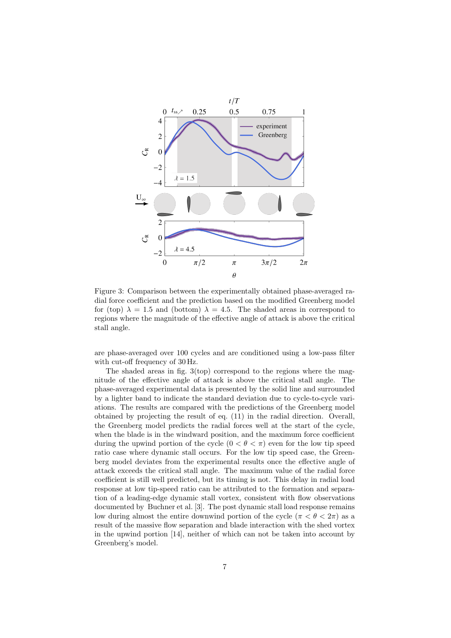

Figure 3: Comparison between the experimentally obtained phase-averaged radial force coefficient and the prediction based on the modified Greenberg model for (top)  $\lambda = 1.5$  and (bottom)  $\lambda = 4.5$ . The shaded areas in correspond to regions where the magnitude of the effective angle of attack is above the critical stall angle.

are phase-averaged over 100 cycles and are conditioned using a low-pass filter with cut-off frequency of 30 Hz.

The shaded areas in fig.  $3(top)$  correspond to the regions where the magnitude of the effective angle of attack is above the critical stall angle. The phase-averaged experimental data is presented by the solid line and surrounded by a lighter band to indicate the standard deviation due to cycle-to-cycle variations. The results are compared with the predictions of the Greenberg model obtained by projecting the result of eq. (11) in the radial direction. Overall, the Greenberg model predicts the radial forces well at the start of the cycle, when the blade is in the windward position, and the maximum force coefficient during the upwind portion of the cycle  $(0 < \theta < \pi)$  even for the low tip speed ratio case where dynamic stall occurs. For the low tip speed case, the Greenberg model deviates from the experimental results once the effective angle of attack exceeds the critical stall angle. The maximum value of the radial force coefficient is still well predicted, but its timing is not. This delay in radial load response at low tip-speed ratio can be attributed to the formation and separation of a leading-edge dynamic stall vortex, consistent with flow observations documented by Buchner et al. [3]. The post dynamic stall load response remains low during almost the entire downwind portion of the cycle ( $\pi < \theta < 2\pi$ ) as a result of the massive flow separation and blade interaction with the shed vortex in the upwind portion [14], neither of which can not be taken into account by Greenberg's model.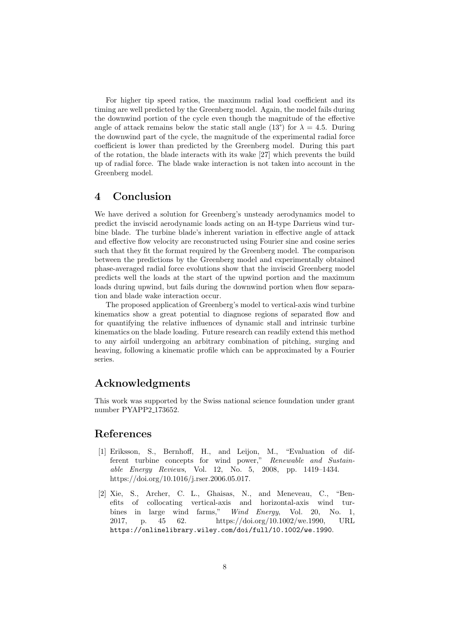For higher tip speed ratios, the maximum radial load coefficient and its timing are well predicted by the Greenberg model. Again, the model fails during the downwind portion of the cycle even though the magnitude of the effective angle of attack remains below the static stall angle (13°) for  $\lambda = 4.5$ . During the downwind part of the cycle, the magnitude of the experimental radial force coefficient is lower than predicted by the Greenberg model. During this part of the rotation, the blade interacts with its wake [27] which prevents the build up of radial force. The blade wake interaction is not taken into account in the Greenberg model.

## 4 Conclusion

We have derived a solution for Greenberg's unsteady aerodynamics model to predict the inviscid aerodynamic loads acting on an H-type Darrieus wind turbine blade. The turbine blade's inherent variation in effective angle of attack and effective flow velocity are reconstructed using Fourier sine and cosine series such that they fit the format required by the Greenberg model. The comparison between the predictions by the Greenberg model and experimentally obtained phase-averaged radial force evolutions show that the inviscid Greenberg model predicts well the loads at the start of the upwind portion and the maximum loads during upwind, but fails during the downwind portion when flow separation and blade wake interaction occur.

The proposed application of Greenberg's model to vertical-axis wind turbine kinematics show a great potential to diagnose regions of separated flow and for quantifying the relative influences of dynamic stall and intrinsic turbine kinematics on the blade loading. Future research can readily extend this method to any airfoil undergoing an arbitrary combination of pitching, surging and heaving, following a kinematic profile which can be approximated by a Fourier series.

## Acknowledgments

This work was supported by the Swiss national science foundation under grant number PYAPP2<sub>-173652</sub>.

## References

- [1] Eriksson, S., Bernhoff, H., and Leijon, M., "Evaluation of different turbine concepts for wind power," Renewable and Sustainable Energy Reviews, Vol. 12, No. 5, 2008, pp. 1419–1434. https://doi.org/10.1016/j.rser.2006.05.017.
- [2] Xie, S., Archer, C. L., Ghaisas, N., and Meneveau, C., "Benefits of collocating vertical-axis and horizontal-axis wind turbines in large wind farms," Wind Energy, Vol. 20, No. 1, 2017, p. 45 62. https://doi.org/10.1002/we.1990, URL https://onlinelibrary.wiley.com/doi/full/10.1002/we.1990.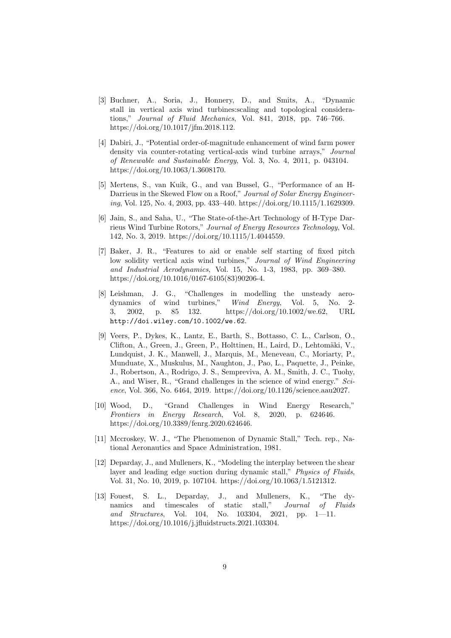- [3] Buchner, A., Soria, J., Honnery, D., and Smits, A., "Dynamic stall in vertical axis wind turbines:scaling and topological considerations," Journal of Fluid Mechanics, Vol. 841, 2018, pp. 746–766. https://doi.org/10.1017/jfm.2018.112.
- [4] Dabiri, J., "Potential order-of-magnitude enhancement of wind farm power density via counter-rotating vertical-axis wind turbine arrays," Journal of Renewable and Sustainable Energy, Vol. 3, No. 4, 2011, p. 043104. https://doi.org/10.1063/1.3608170.
- [5] Mertens, S., van Kuik, G., and van Bussel, G., "Performance of an H-Darrieus in the Skewed Flow on a Roof," Journal of Solar Energy Engineering, Vol. 125, No. 4, 2003, pp. 433–440. https://doi.org/10.1115/1.1629309.
- [6] Jain, S., and Saha, U., "The State-of-the-Art Technology of H-Type Darrieus Wind Turbine Rotors," Journal of Energy Resources Technology, Vol. 142, No. 3, 2019. https://doi.org/10.1115/1.4044559.
- [7] Baker, J. R., "Features to aid or enable self starting of fixed pitch low solidity vertical axis wind turbines," Journal of Wind Engineering and Industrial Aerodynamics, Vol. 15, No. 1-3, 1983, pp. 369–380. https://doi.org/10.1016/0167-6105(83)90206-4.
- [8] Leishman, J. G., "Challenges in modelling the unsteady aerodynamics of wind turbines," Wind Energy, Vol. 5, No. 2- 3, 2002, p. 85 132. https://doi.org/10.1002/we.62, URL http://doi.wiley.com/10.1002/we.62.
- [9] Veers, P., Dykes, K., Lantz, E., Barth, S., Bottasso, C. L., Carlson, O., Clifton, A., Green, J., Green, P., Holttinen, H., Laird, D., Lehtomäki, V., Lundquist, J. K., Manwell, J., Marquis, M., Meneveau, C., Moriarty, P., Munduate, X., Muskulus, M., Naughton, J., Pao, L., Paquette, J., Peinke, J., Robertson, A., Rodrigo, J. S., Sempreviva, A. M., Smith, J. C., Tuohy, A., and Wiser, R., "Grand challenges in the science of wind energy." Science, Vol. 366, No. 6464, 2019. https://doi.org/10.1126/science.aau2027.
- [10] Wood, D., "Grand Challenges in Wind Energy Research," Frontiers in Energy Research, Vol. 8, 2020, p. 624646. https://doi.org/10.3389/fenrg.2020.624646.
- [11] Mccroskey, W. J., "The Phenomenon of Dynamic Stall," Tech. rep., National Aeronautics and Space Administration, 1981.
- [12] Deparday, J., and Mulleners, K., "Modeling the interplay between the shear layer and leading edge suction during dynamic stall," Physics of Fluids, Vol. 31, No. 10, 2019, p. 107104. https://doi.org/10.1063/1.5121312.
- [13] Fouest, S. L., Deparday, J., and Mulleners, K., "The dynamics and timescales of static stall," Journal of Fluids and Structures, Vol. 104, No. 103304, 2021, pp. 1—11. https://doi.org/10.1016/j.jfluidstructs.2021.103304.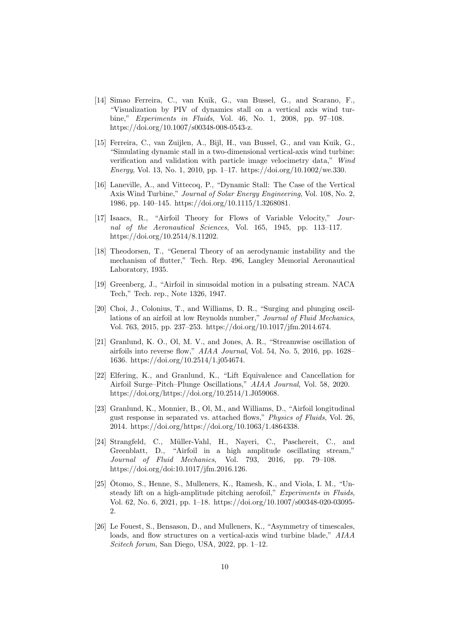- [14] Simao Ferreira, C., van Kuik, G., van Bussel, G., and Scarano, F., "Visualization by PIV of dynamics stall on a vertical axis wind turbine," Experiments in Fluids, Vol. 46, No. 1, 2008, pp. 97–108. https://doi.org/10.1007/s00348-008-0543-z.
- [15] Ferreira, C., van Zuijlen, A., Bijl, H., van Bussel, G., and van Kuik, G., "Simulating dynamic stall in a two-dimensional vertical-axis wind turbine: verification and validation with particle image velocimetry data," Wind Energy, Vol. 13, No. 1, 2010, pp. 1–17. https://doi.org/10.1002/we.330.
- [16] Laneville, A., and Vittecoq, P., "Dynamic Stall: The Case of the Vertical Axis Wind Turbine," Journal of Solar Energy Engineering, Vol. 108, No. 2, 1986, pp. 140–145. https://doi.org/10.1115/1.3268081.
- [17] Isaacs, R., "Airfoil Theory for Flows of Variable Velocity," Journal of the Aeronautical Sciences, Vol. 165, 1945, pp. 113–117. https://doi.org/10.2514/8.11202.
- [18] Theodorsen, T., "General Theory of an aerodynamic instability and the mechanism of flutter," Tech. Rep. 496, Langley Memorial Aeronautical Laboratory, 1935.
- [19] Greenberg, J., "Airfoil in sinusoidal motion in a pulsating stream. NACA Tech," Tech. rep., Note 1326, 1947.
- [20] Choi, J., Colonius, T., and Williams, D. R., "Surging and plunging oscillations of an airfoil at low Reynolds number," Journal of Fluid Mechanics, Vol. 763, 2015, pp. 237–253. https://doi.org/10.1017/jfm.2014.674.
- [21] Granlund, K. O., Ol, M. V., and Jones, A. R., "Streamwise oscillation of airfoils into reverse flow," AIAA Journal, Vol. 54, No. 5, 2016, pp. 1628– 1636. https://doi.org/10.2514/1.j054674.
- [22] Elfering, K., and Granlund, K., "Lift Equivalence and Cancellation for Airfoil Surge–Pitch–Plunge Oscillations," AIAA Journal, Vol. 58, 2020. https://doi.org/https://doi.org/10.2514/1.J059068.
- [23] Granlund, K., Monnier, B., Ol, M., and Williams, D., "Airfoil longitudinal gust response in separated vs. attached flows," Physics of Fluids, Vol. 26, 2014. https://doi.org/https://doi.org/10.1063/1.4864338.
- [24] Strangfeld, C., Müller-Vahl, H., Nayeri, C., Paschereit, C., and Greenblatt, D., "Airfoil in a high amplitude oscillating stream," Journal of Fluid Mechanics, Vol. 793, 2016, pp. 79–108. https://doi.org/doi:10.1017/jfm.2016.126.
- [25]  $\bar{O}$ tomo, S., Henne, S., Mulleners, K., Ramesh, K., and Viola, I. M., "Unsteady lift on a high-amplitude pitching aerofoil," Experiments in Fluids, Vol. 62, No. 6, 2021, pp. 1–18. https://doi.org/10.1007/s00348-020-03095- 2.
- [26] Le Fouest, S., Bensason, D., and Mulleners, K., "Asymmetry of timescales, loads, and flow structures on a vertical-axis wind turbine blade," AIAA Scitech forum, San Diego, USA, 2022, pp. 1–12.